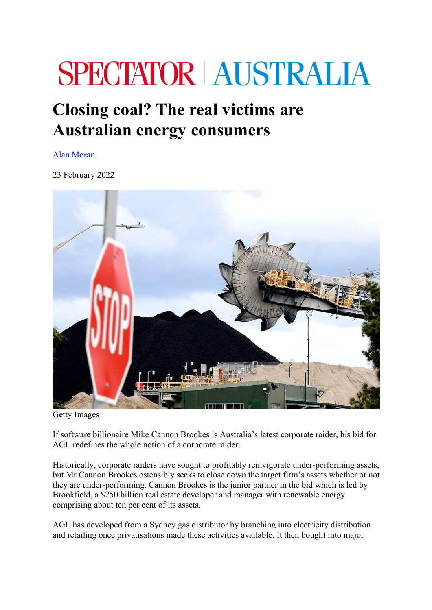## **SPECTATOR AUSTRALIA**

## **Closing coal? The real victims are Australian energy consumers**

Alan Moran

23 February 2022



Getty Images

If software billionaire Mike Cannon Brookes is Australia's latest corporate raider, his bid for AGL redefines the whole notion of a corporate raider.

Historically, corporate raiders have sought to profitably reinvigorate under-performing assets, but Mr Cannon Brookes ostensibly seeks to close down the target firm's assets whether or not they are under-performing. Cannon Brookes is the junior partner in the bid which is led by Brookfield, a \$250 billion real estate developer and manager with renewable energy comprising about ten per cent of its assets.

AGL has developed from a Sydney gas distributor by branching into electricity distribution and retailing once privatisations made these activities available. It then bought into major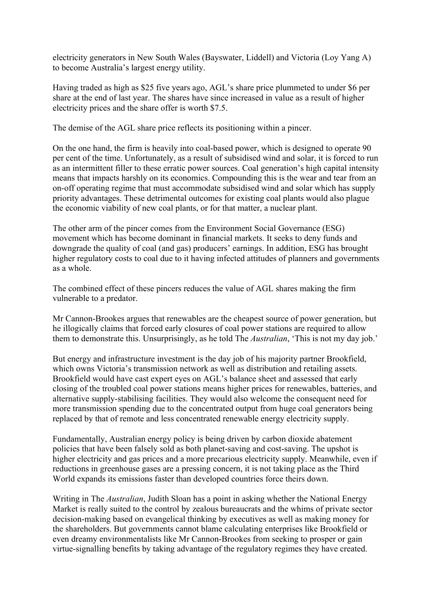electricity generators in New South Wales (Bayswater, Liddell) and Victoria (Loy Yang A) to become Australia's largest energy utility.

Having traded as high as \$25 five years ago, AGL's share price plummeted to under \$6 per share at the end of last year. The shares have since increased in value as a result of higher electricity prices and the share offer is worth \$7.5.

The demise of the AGL share price reflects its positioning within a pincer.

On the one hand, the firm is heavily into coal-based power, which is designed to operate 90 per cent of the time. Unfortunately, as a result of subsidised wind and solar, it is forced to run as an intermittent filler to these erratic power sources. Coal generation's high capital intensity means that impacts harshly on its economics. Compounding this is the wear and tear from an on-off operating regime that must accommodate subsidised wind and solar which has supply priority advantages. These detrimental outcomes for existing coal plants would also plague the economic viability of new coal plants, or for that matter, a nuclear plant.

The other arm of the pincer comes from the Environment Social Governance (ESG) movement which has become dominant in financial markets. It seeks to deny funds and downgrade the quality of coal (and gas) producers' earnings. In addition, ESG has brought higher regulatory costs to coal due to it having infected attitudes of planners and governments as a whole.

The combined effect of these pincers reduces the value of AGL shares making the firm vulnerable to a predator.

Mr Cannon-Brookes argues that renewables are the cheapest source of power generation, but he illogically claims that forced early closures of coal power stations are required to allow them to demonstrate this. Unsurprisingly, as he told The *Australian*, 'This is not my day job.'

But energy and infrastructure investment is the day job of his majority partner Brookfield, which owns Victoria's transmission network as well as distribution and retailing assets. Brookfield would have cast expert eyes on AGL's balance sheet and assessed that early closing of the troubled coal power stations means higher prices for renewables, batteries, and alternative supply-stabilising facilities. They would also welcome the consequent need for more transmission spending due to the concentrated output from huge coal generators being replaced by that of remote and less concentrated renewable energy electricity supply.

Fundamentally, Australian energy policy is being driven by carbon dioxide abatement policies that have been falsely sold as both planet-saving and cost-saving. The upshot is higher electricity and gas prices and a more precarious electricity supply. Meanwhile, even if reductions in greenhouse gases are a pressing concern, it is not taking place as the Third World expands its emissions faster than developed countries force theirs down.

Writing in The *Australian*, Judith Sloan has a point in asking whether the National Energy Market is really suited to the control by zealous bureaucrats and the whims of private sector decision-making based on evangelical thinking by executives as well as making money for the shareholders. But governments cannot blame calculating enterprises like Brookfield or even dreamy environmentalists like Mr Cannon-Brookes from seeking to prosper or gain virtue-signalling benefits by taking advantage of the regulatory regimes they have created.